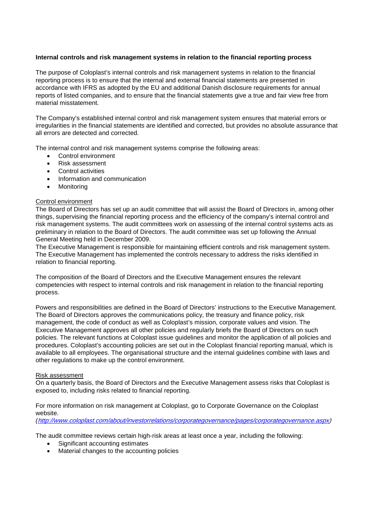## **Internal controls and risk management systems in relation to the financial reporting process**

The purpose of Coloplast's internal controls and risk management systems in relation to the financial reporting process is to ensure that the internal and external financial statements are presented in accordance with IFRS as adopted by the EU and additional Danish disclosure requirements for annual reports of listed companies, and to ensure that the financial statements give a true and fair view free from material misstatement.

The Company's established internal control and risk management system ensures that material errors or irregularities in the financial statements are identified and corrected, but provides no absolute assurance that all errors are detected and corrected.

The internal control and risk management systems comprise the following areas:

- Control environment
- Risk assessment
- Control activities
- Information and communication
- Monitoring

# Control environment

The Board of Directors has set up an audit committee that will assist the Board of Directors in, among other things, supervising the financial reporting process and the efficiency of the company's internal control and risk management systems. The audit committees work on assessing of the internal control systems acts as preliminary in relation to the Board of Directors. The audit committee was set up following the Annual General Meeting held in December 2009.

The Executive Management is responsible for maintaining efficient controls and risk management system. The Executive Management has implemented the controls necessary to address the risks identified in relation to financial reporting.

The composition of the Board of Directors and the Executive Management ensures the relevant competencies with respect to internal controls and risk management in relation to the financial reporting process.

Powers and responsibilities are defined in the Board of Directors' instructions to the Executive Management. The Board of Directors approves the communications policy, the treasury and finance policy, risk management, the code of conduct as well as Coloplast's mission, corporate values and vision. The Executive Management approves all other policies and regularly briefs the Board of Directors on such policies. The relevant functions at Coloplast issue guidelines and monitor the application of all policies and procedures. Coloplast's accounting policies are set out in the Coloplast financial reporting manual, which is available to all employees. The organisational structure and the internal guidelines combine with laws and other regulations to make up the control environment.

## Risk assessment

On a quarterly basis, the Board of Directors and the Executive Management assess risks that Coloplast is exposed to, including risks related to financial reporting.

For more information on risk management at Coloplast, go to Corporate Governance on the Coloplast website.

*(*[http://www.coloplast.com/about/investorrelations/corporategovernance/pages/corporategovernance.aspx\)](http://www.coloplast.com/about/investorrelations/corporategovernance/pages/corporategovernance.aspx)

The audit committee reviews certain high-risk areas at least once a year, including the following:

- Significant accounting estimates
- Material changes to the accounting policies